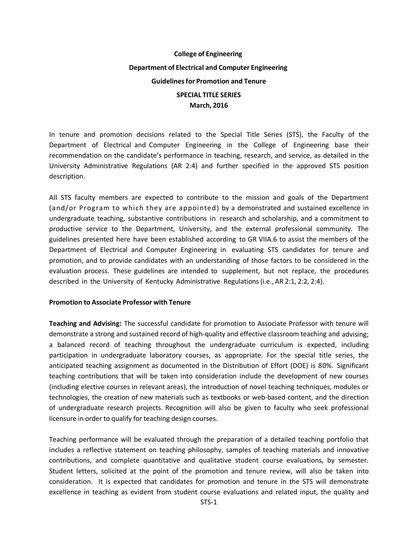## **College of Engineering Department of Electrical and Computer Engineering Guidelinesfor Promotion and Tenure SPECIAL TITLE SERIES March, 2016**

In tenure and promotion decisions related to the Special Title Series (STS), the Faculty of the Department of Electrical and Computer Engineering in the College of Engineering base their recommendation on the candidate's performance in teaching, research, and service, as detailed in the University Administrative Regulations (AR 2:4) and further specified in the approved STS position description.

All STS faculty members are expected to contribute to the mission and goals of the Department (and/or Program to which they are appointed) by a demonstrated and sustained excellence in undergraduate teaching, substantive contributions in research and scholarship, and a commitment to productive service to the Department, University, and the external professional community. The guidelines presented here have been established according to GR VIIA.6 to assist the members of the Department of Electrical and Computer Engineering in evaluating STS candidates for tenure and promotion, and to provide candidates with an understanding of those factors to be considered in the evaluation process. These guidelines are intended to supplement, but not replace, the procedures described in the University of Kentucky Administrative Regulations (i.e., AR 2:1, 2:2, 2:4).

## **Promotion to Associate Professor with Tenure**

**Teaching and Advising:** The successful candidate for promotion to Associate Professor with tenure will demonstrate a strong and sustained record of high-quality and effective classroom teaching and advising; a balanced record of teaching throughout the undergraduate curriculum is expected, including participation in undergraduate laboratory courses, as appropriate. For the special title series, the anticipated teaching assignment as documented in the Distribution of Effort (DOE) is 80%. Significant teaching contributions that will be taken into consideration include the development of new courses (including elective courses in relevant areas), the introduction of novel teaching techniques, modules or technologies, the creation of new materials such as textbooks or web‐based content, and the direction of undergraduate research projects. Recognition will also be given to faculty who seek professional licensure in order to qualify for teaching design courses.

Teaching performance will be evaluated through the preparation of a detailed teaching portfolio that includes a reflective statement on teaching philosophy, samples of teaching materials and innovative contributions, and complete quantitative and qualitative student course evaluations, by semester. Student letters, solicited at the point of the promotion and tenure review, will also be taken into consideration. It is expected that candidates for promotion and tenure in the STS will demonstrate excellence in teaching as evident from student course evaluations and related input, the quality and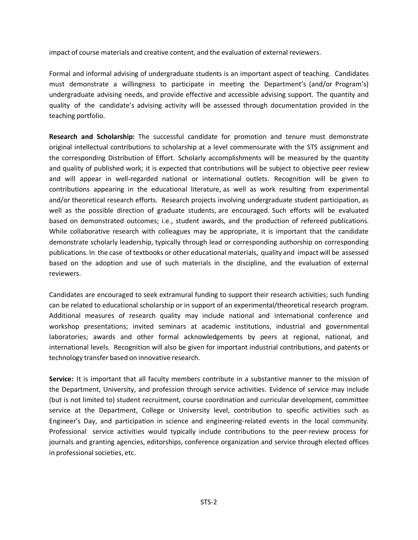impact of course materials and creative content, and the evaluation of external reviewers.

Formal and informal advising of undergraduate students is an important aspect of teaching. Candidates must demonstrate a willingness to participate in meeting the Department's (and/or Program's) undergraduate advising needs, and provide effective and accessible advising support. The quantity and quality of the candidate's advising activity will be assessed through documentation provided in the teaching portfolio.

**Research and Scholarship:** The successful candidate for promotion and tenure must demonstrate original intellectual contributions to scholarship at a level commensurate with the STS assignment and the corresponding Distribution of Effort. Scholarly accomplishments will be measured by the quantity and quality of published work; it is expected that contributions will be subject to objective peer review and will appear in well-regarded national or international outlets. Recognition will be given to contributions appearing in the educational literature, as well as work resulting from experimental and/or theoretical research efforts. Research projects involving undergraduate student participation, as well as the possible direction of graduate students, are encouraged. Such efforts will be evaluated based on demonstrated outcomes; i.e., student awards, and the production of refereed publications. While collaborative research with colleagues may be appropriate, it is important that the candidate demonstrate scholarly leadership, typically through lead or corresponding authorship on corresponding publications. In the case of textbooks or other educational materials, quality and impact will be assessed based on the adoption and use of such materials in the discipline, and the evaluation of external reviewers.

Candidates are encouraged to seek extramural funding to support their research activities; such funding can be related to educational scholarship or in support of an experimental/theoretical research program. Additional measures of research quality may include national and international conference and workshop presentations; invited seminars at academic institutions, industrial and governmental laboratories; awards and other formal acknowledgements by peers at regional, national, and international levels. Recognition will also be given for important industrial contributions, and patents or technology transfer based on innovative research.

**Service:** It is important that all faculty members contribute in a substantive manner to the mission of the Department, University, and profession through service activities. Evidence of service may include (but is not limited to) student recruitment, course coordination and curricular development, committee service at the Department, College or University level, contribution to specific activities such as Engineer's Day, and participation in science and engineering-related events in the local community. Professional service activities would typically include contributions to the peer-review process for journals and granting agencies, editorships, conference organization and service through elected offices in professional societies, etc.